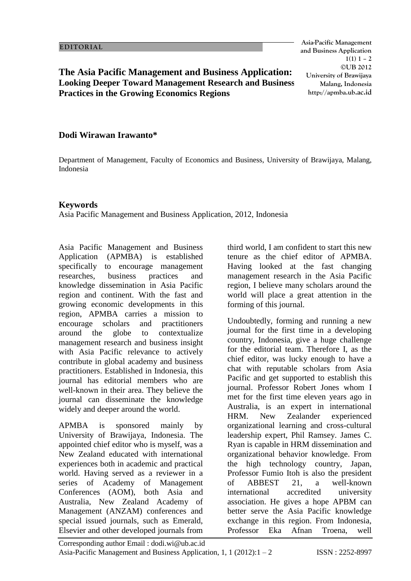**Asia-Pacific Management and Business Application**  $1(1) 1 - 2$ **©UB 2012 University of Brawijaya Malang, Indonesia http://apmba.ub.ac.id**

## **The Asia Pacific Management and Business Application: Looking Deeper Toward Management Research and Business Practices in the Growing Economics Regions**

## **Dodi Wirawan Irawanto\***

Department of Management, Faculty of Economics and Business, University of Brawijaya, Malang, Indonesia

## **Keywords**

Asia Pacific Management and Business Application, 2012, Indonesia

Asia Pacific Management and Business Application (APMBA) is established specifically to encourage management researches, business practices and knowledge dissemination in Asia Pacific region and continent. With the fast and growing economic developments in this region, APMBA carries a mission to encourage scholars and practitioners around the globe to contextualize management research and business insight with Asia Pacific relevance to actively contribute in global academy and business practitioners. Established in Indonesia, this journal has editorial members who are well-known in their area. They believe the journal can disseminate the knowledge widely and deeper around the world.

APMBA is sponsored mainly by University of Brawijaya, Indonesia. The appointed chief editor who is myself, was a New Zealand educated with international experiences both in academic and practical world. Having served as a reviewer in a series of Academy of Management Conferences (AOM), both Asia and Australia, New Zealand Academy of Management (ANZAM) conferences and special issued journals, such as Emerald, Elsevier and other developed journals from

third world, I am confident to start this new tenure as the chief editor of APMBA. Having looked at the fast changing management research in the Asia Pacific region, I believe many scholars around the world will place a great attention in the forming of this journal.

Undoubtedly, forming and running a new journal for the first time in a developing country, Indonesia, give a huge challenge for the editorial team. Therefore I, as the chief editor, was lucky enough to have a chat with reputable scholars from Asia Pacific and get supported to establish this journal. Professor Robert Jones whom I met for the first time eleven years ago in Australia, is an expert in international HRM. New Zealander experienced organizational learning and cross-cultural leadership expert, Phil Ramsey. James C. Ryan is capable in HRM dissemination and organizational behavior knowledge. From the high technology country, Japan, Professor Fumio Itoh is also the president of ABBEST 21, a well-known international accredited university association. He gives a hope APBM can better serve the Asia Pacific knowledge exchange in this region. From Indonesia, Professor Eka Afnan Troena, well